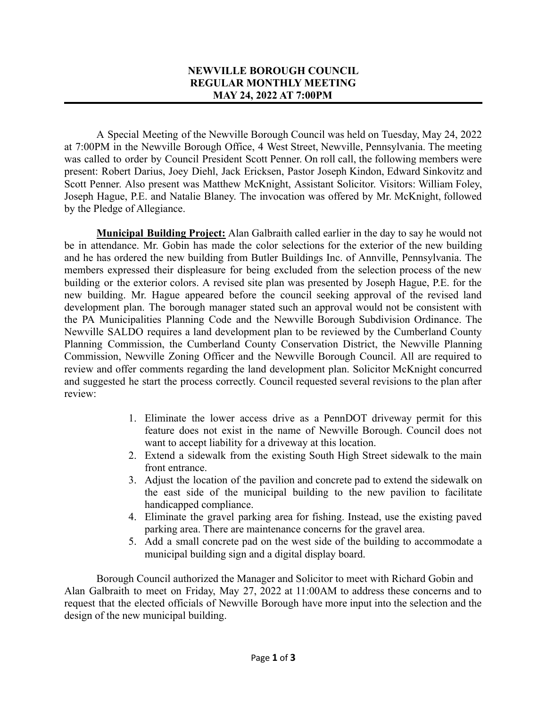## **NEWVILLE BOROUGH COUNCIL REGULAR MONTHLY MEETING MAY 24, 2022 AT 7:00PM**

A Special Meeting of the Newville Borough Council was held on Tuesday, May 24, 2022 at 7:00PM in the Newville Borough Office, 4 West Street, Newville, Pennsylvania. The meeting was called to order by Council President Scott Penner. On roll call, the following members were present: Robert Darius, Joey Diehl, Jack Ericksen, Pastor Joseph Kindon, Edward Sinkovitz and Scott Penner. Also present was Matthew McKnight, Assistant Solicitor. Visitors: William Foley, Joseph Hague, P.E. and Natalie Blaney. The invocation was offered by Mr. McKnight, followed by the Pledge of Allegiance.

**Municipal Building Project:** Alan Galbraith called earlier in the day to say he would not be in attendance. Mr. Gobin has made the color selections for the exterior of the new building and he has ordered the new building from Butler Buildings Inc. of Annville, Pennsylvania. The members expressed their displeasure for being excluded from the selection process of the new building or the exterior colors. A revised site plan was presented by Joseph Hague, P.E. for the new building. Mr. Hague appeared before the council seeking approval of the revised land development plan. The borough manager stated such an approval would not be consistent with the PA Municipalities Planning Code and the Newville Borough Subdivision Ordinance. The Newville SALDO requires a land development plan to be reviewed by the Cumberland County Planning Commission, the Cumberland County Conservation District, the Newville Planning Commission, Newville Zoning Officer and the Newville Borough Council. All are required to review and offer comments regarding the land development plan. Solicitor McKnight concurred and suggested he start the process correctly. Council requested several revisions to the plan after review:

- 1. Eliminate the lower access drive as a PennDOT driveway permit for this feature does not exist in the name of Newville Borough. Council does not want to accept liability for a driveway at this location.
- 2. Extend a sidewalk from the existing South High Street sidewalk to the main front entrance.
- 3. Adjust the location of the pavilion and concrete pad to extend the sidewalk on the east side of the municipal building to the new pavilion to facilitate handicapped compliance.
- 4. Eliminate the gravel parking area for fishing. Instead, use the existing paved parking area. There are maintenance concerns for the gravel area.
- 5. Add a small concrete pad on the west side of the building to accommodate a municipal building sign and a digital display board.

Borough Council authorized the Manager and Solicitor to meet with Richard Gobin and Alan Galbraith to meet on Friday, May 27, 2022 at 11:00AM to address these concerns and to request that the elected officials of Newville Borough have more input into the selection and the design of the new municipal building.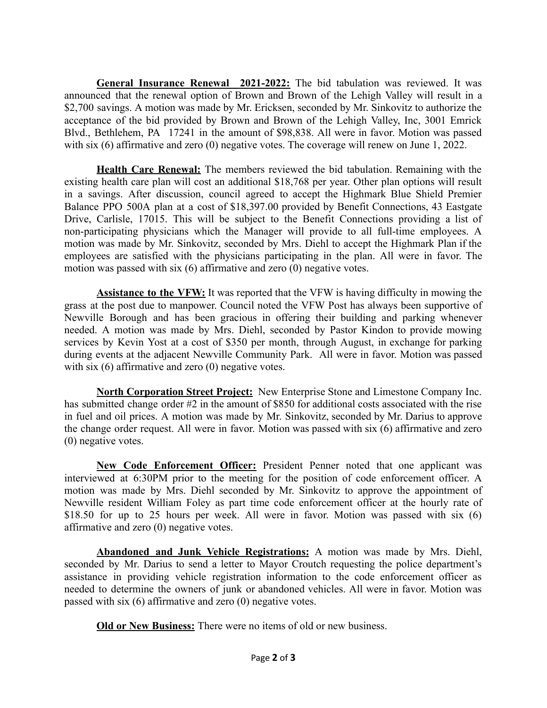**General Insurance Renewal 2021-2022:** The bid tabulation was reviewed. It was announced that the renewal option of Brown and Brown of the Lehigh Valley will result in a \$2,700 savings. A motion was made by Mr. Ericksen, seconded by Mr. Sinkovitz to authorize the acceptance of the bid provided by Brown and Brown of the Lehigh Valley, Inc, 3001 Emrick Blvd., Bethlehem, PA 17241 in the amount of \$98,838. All were in favor. Motion was passed with six (6) affirmative and zero (0) negative votes. The coverage will renew on June 1, 2022.

**Health Care Renewal:** The members reviewed the bid tabulation. Remaining with the existing health care plan will cost an additional \$18,768 per year. Other plan options will result in a savings. After discussion, council agreed to accept the Highmark Blue Shield Premier Balance PPO 500A plan at a cost of \$18,397.00 provided by Benefit Connections, 43 Eastgate Drive, Carlisle, 17015. This will be subject to the Benefit Connections providing a list of non-participating physicians which the Manager will provide to all full-time employees. A motion was made by Mr. Sinkovitz, seconded by Mrs. Diehl to accept the Highmark Plan if the employees are satisfied with the physicians participating in the plan. All were in favor. The motion was passed with six (6) affirmative and zero (0) negative votes.

**Assistance to the VFW:** It was reported that the VFW is having difficulty in mowing the grass at the post due to manpower. Council noted the VFW Post has always been supportive of Newville Borough and has been gracious in offering their building and parking whenever needed. A motion was made by Mrs. Diehl, seconded by Pastor Kindon to provide mowing services by Kevin Yost at a cost of \$350 per month, through August, in exchange for parking during events at the adjacent Newville Community Park. All were in favor. Motion was passed with six (6) affirmative and zero (0) negative votes.

**North Corporation Street Project:** New Enterprise Stone and Limestone Company Inc. has submitted change order #2 in the amount of \$850 for additional costs associated with the rise in fuel and oil prices. A motion was made by Mr. Sinkovitz, seconded by Mr. Darius to approve the change order request. All were in favor. Motion was passed with six (6) affirmative and zero (0) negative votes.

**New Code Enforcement Officer:** President Penner noted that one applicant was interviewed at 6:30PM prior to the meeting for the position of code enforcement officer. A motion was made by Mrs. Diehl seconded by Mr. Sinkovitz to approve the appointment of Newville resident William Foley as part time code enforcement officer at the hourly rate of \$18.50 for up to 25 hours per week. All were in favor. Motion was passed with six (6) affirmative and zero (0) negative votes.

**Abandoned and Junk Vehicle Registrations:** A motion was made by Mrs. Diehl, seconded by Mr. Darius to send a letter to Mayor Croutch requesting the police department's assistance in providing vehicle registration information to the code enforcement officer as needed to determine the owners of junk or abandoned vehicles. All were in favor. Motion was passed with six (6) affirmative and zero (0) negative votes.

**Old or New Business:** There were no items of old or new business.